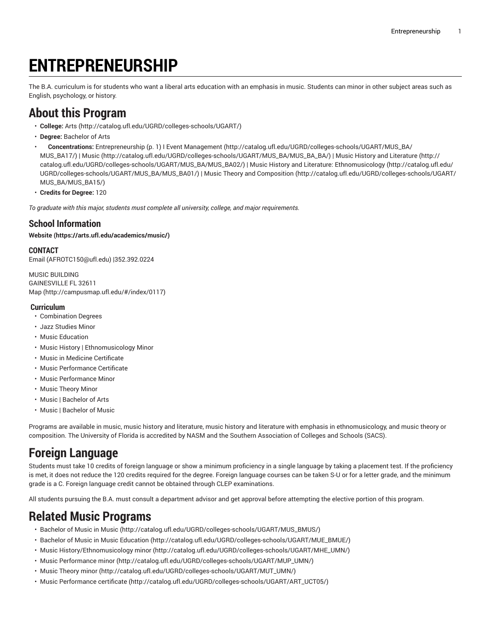# **ENTREPRENEURSHIP**

<span id="page-0-0"></span>The B.A. curriculum is for students who want a liberal arts education with an emphasis in music. Students can minor in other subject areas such as English, psychology, or history.

# **About this Program**

- **College:** [Arts](http://catalog.ufl.edu/UGRD/colleges-schools/UGART/) ([http://catalog.ufl.edu/UGRD/colleges-schools/UGART/\)](http://catalog.ufl.edu/UGRD/colleges-schools/UGART/)
- **Degree:** Bachelor of Arts
- **Concentrations:** [Entrepreneurship \(p. 1\)](#page-0-0) I Event [Management](http://catalog.ufl.edu/UGRD/colleges-schools/UGART/MUS_BA/MUS_BA17/) ([http://catalog.ufl.edu/UGRD/colleges-schools/UGART/MUS\\_BA/](http://catalog.ufl.edu/UGRD/colleges-schools/UGART/MUS_BA/MUS_BA17/) [MUS\\_BA17/\)](http://catalog.ufl.edu/UGRD/colleges-schools/UGART/MUS_BA/MUS_BA17/) | [Music](http://catalog.ufl.edu/UGRD/colleges-schools/UGART/MUS_BA/MUS_BA_BA/) ([http://catalog.ufl.edu/UGRD/colleges-schools/UGART/MUS\\_BA/MUS\\_BA\\_BA/](http://catalog.ufl.edu/UGRD/colleges-schools/UGART/MUS_BA/MUS_BA_BA/)) | Music History and [Literature \(http://](http://catalog.ufl.edu/UGRD/colleges-schools/UGART/MUS_BA/MUS_BA02/) [catalog.ufl.edu/UGRD/colleges-schools/UGART/MUS\\_BA/MUS\\_BA02/\)](http://catalog.ufl.edu/UGRD/colleges-schools/UGART/MUS_BA/MUS_BA02/) | Music History and Literature: [Ethnomusicology](http://catalog.ufl.edu/UGRD/colleges-schools/UGART/MUS_BA/MUS_BA01/) ([http://catalog.ufl.edu/](http://catalog.ufl.edu/UGRD/colleges-schools/UGART/MUS_BA/MUS_BA01/) [UGRD/colleges-schools/UGART/MUS\\_BA/MUS\\_BA01/\)](http://catalog.ufl.edu/UGRD/colleges-schools/UGART/MUS_BA/MUS_BA01/) | Music Theory and [Composition](http://catalog.ufl.edu/UGRD/colleges-schools/UGART/MUS_BA/MUS_BA15/) [\(http://catalog.ufl.edu/UGRD/colleges-schools/UGART/](http://catalog.ufl.edu/UGRD/colleges-schools/UGART/MUS_BA/MUS_BA15/) [MUS\\_BA/MUS\\_BA15/](http://catalog.ufl.edu/UGRD/colleges-schools/UGART/MUS_BA/MUS_BA15/))
- **Credits for Degree:** 120

*To graduate with this major, students must complete all university, college, and major requirements.*

#### **School Information**

**[Website](https://arts.ufl.edu/academics/music/) ([https://arts.ufl.edu/academics/music/\)](https://arts.ufl.edu/academics/music/)**

#### **CONTACT**

[Email](mailto:AFROTC150@ufl.edu) (<AFROTC150@ufl.edu>) |352.392.0224

MUSIC BUILDING GAINESVILLE FL 32611 [Map](http://campusmap.ufl.edu/#/index/0117) ([http://campusmap.ufl.edu/#/index/0117\)](http://campusmap.ufl.edu/#/index/0117)

#### **Curriculum**

- Combination Degrees
- Jazz Studies Minor
- Music Education
- Music History | Ethnomusicology Minor
- Music in Medicine Certificate
- Music Performance Certificate
- Music Performance Minor
- Music Theory Minor
- Music | Bachelor of Arts
- Music | Bachelor of Music

Programs are available in music, music history and literature, music history and literature with emphasis in ethnomusicology, and music theory or composition. The University of Florida is accredited by NASM and the Southern Association of Colleges and Schools (SACS).

# **Foreign Language**

Students must take 10 credits of foreign language or show a minimum proficiency in a single language by taking a placement test. If the proficiency is met, it does not reduce the 120 credits required for the degree. Foreign language courses can be taken S-U or for a letter grade, and the minimum grade is a C. Foreign language credit cannot be obtained through CLEP examinations.

All students pursuing the B.A. must consult a department advisor and get approval before attempting the elective portion of this program.

# **Related Music Programs**

- [Bachelor of Music in Music \(http://catalog.ufl.edu/UGRD/colleges-schools/UGART/MUS\\_BMUS/](http://catalog.ufl.edu/UGRD/colleges-schools/UGART/MUS_BMUS/))
- Bachelor of Music in Music [Education \(http://catalog.ufl.edu/UGRD/colleges-schools/UGART/MUE\\_BMUE/\)](http://catalog.ufl.edu/UGRD/colleges-schools/UGART/MUE_BMUE/)
- Music [History/Ethnomusicology](http://catalog.ufl.edu/UGRD/colleges-schools/UGART/MHE_UMN/) minor [\(http://catalog.ufl.edu/UGRD/colleges-schools/UGART/MHE\\_UMN/\)](http://catalog.ufl.edu/UGRD/colleges-schools/UGART/MHE_UMN/)
- Music [Performance](http://catalog.ufl.edu/UGRD/colleges-schools/UGART/MUP_UMN/) minor ([http://catalog.ufl.edu/UGRD/colleges-schools/UGART/MUP\\_UMN/\)](http://catalog.ufl.edu/UGRD/colleges-schools/UGART/MUP_UMN/)
- Music [Theory](http://catalog.ufl.edu/UGRD/colleges-schools/UGART/MUT_UMN/) minor [\(http://catalog.ufl.edu/UGRD/colleges-schools/UGART/MUT\\_UMN/](http://catalog.ufl.edu/UGRD/colleges-schools/UGART/MUT_UMN/))
- Music [Performance](http://catalog.ufl.edu/UGRD/colleges-schools/UGART/ART_UCT05/) certificate [\(http://catalog.ufl.edu/UGRD/colleges-schools/UGART/ART\\_UCT05/](http://catalog.ufl.edu/UGRD/colleges-schools/UGART/ART_UCT05/))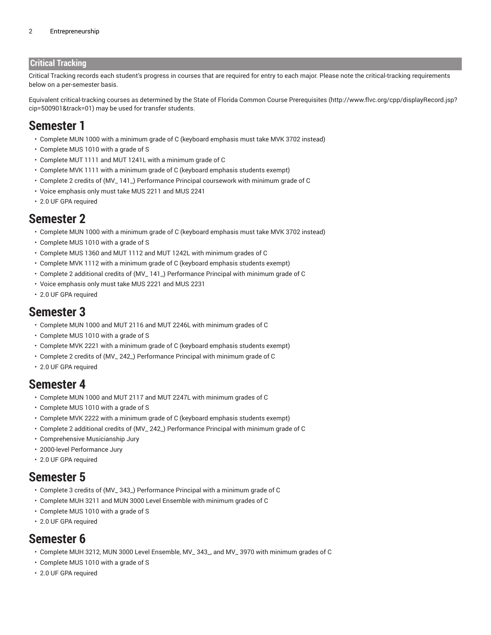#### **Critical Tracking**

Critical Tracking records each student's progress in courses that are required for entry to each major. Please note the critical-tracking requirements below on a per-semester basis.

Equivalent critical-tracking courses as determined by the State of Florida Common Course [Prerequisites](http://www.flvc.org/cpp/displayRecord.jsp?cip=500901&track=01) ([http://www.flvc.org/cpp/displayRecord.jsp?](http://www.flvc.org/cpp/displayRecord.jsp?cip=500901&track=01) [cip=500901&track=01\)](http://www.flvc.org/cpp/displayRecord.jsp?cip=500901&track=01) may be used for transfer students.

### **Semester 1**

- Complete MUN 1000 with a minimum grade of C (keyboard emphasis must take MVK 3702 instead)
- Complete MUS 1010 with a grade of S
- Complete MUT 1111 and MUT 1241L with a minimum grade of C
- Complete MVK 1111 with a minimum grade of C (keyboard emphasis students exempt)
- Complete 2 credits of (MV\_ 141\_) Performance Principal coursework with minimum grade of C
- Voice emphasis only must take MUS 2211 and MUS 2241
- 2.0 UF GPA required

### **Semester 2**

- Complete MUN 1000 with a minimum grade of C (keyboard emphasis must take MVK 3702 instead)
- Complete MUS 1010 with a grade of S
- Complete MUS 1360 and MUT 1112 and MUT 1242L with minimum grades of C
- Complete MVK 1112 with a minimum grade of C (keyboard emphasis students exempt)
- Complete 2 additional credits of (MV\_ 141\_) Performance Principal with minimum grade of C
- Voice emphasis only must take MUS 2221 and MUS 2231
- 2.0 UF GPA required

### **Semester 3**

- Complete MUN 1000 and MUT 2116 and MUT 2246L with minimum grades of C
- Complete MUS 1010 with a grade of S
- Complete MVK 2221 with a minimum grade of C (keyboard emphasis students exempt)
- Complete 2 credits of (MV\_ 242\_) Performance Principal with minimum grade of C
- 2.0 UF GPA required

### **Semester 4**

- Complete MUN 1000 and MUT 2117 and MUT 2247L with minimum grades of C
- Complete MUS 1010 with a grade of S
- Complete MVK 2222 with a minimum grade of C (keyboard emphasis students exempt)
- Complete 2 additional credits of (MV\_ 242\_) Performance Principal with minimum grade of C
- Comprehensive Musicianship Jury
- 2000-level Performance Jury
- 2.0 UF GPA required

### **Semester 5**

- Complete 3 credits of (MV\_ 343\_) Performance Principal with a minimum grade of C
- Complete MUH 3211 and MUN 3000 Level Ensemble with minimum grades of C
- Complete MUS 1010 with a grade of S
- 2.0 UF GPA required

# **Semester 6**

- Complete MUH 3212, MUN 3000 Level Ensemble, MV\_ 343\_, and MV\_ 3970 with minimum grades of C
- Complete MUS 1010 with a grade of S
- 2.0 UF GPA required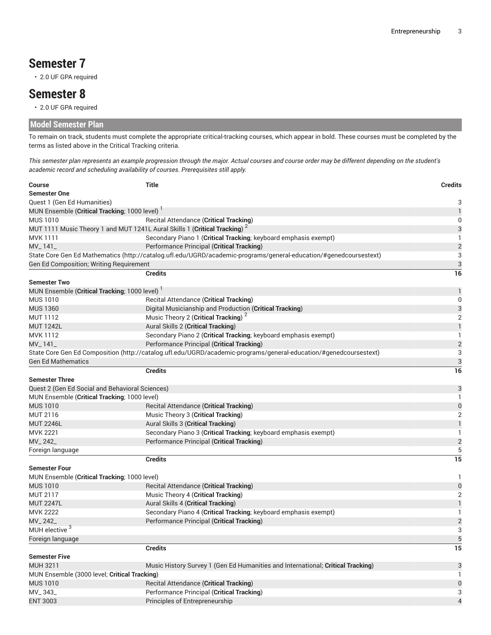# **Semester 7**

• 2.0 UF GPA required

### **Semester 8**

• 2.0 UF GPA required

### **Model Semester Plan**

To remain on track, students must complete the appropriate critical-tracking courses, which appear in bold. These courses must be completed by the terms as listed above in the Critical Tracking criteria.

This semester plan represents an example progression through the major. Actual courses and course order may be different depending on the student's *academic record and scheduling availability of courses. Prerequisites still apply.*

| <b>Course</b><br><b>Semester One</b>                                                                              | <b>Title</b>                                                                                                      | <b>Credits</b> |  |  |
|-------------------------------------------------------------------------------------------------------------------|-------------------------------------------------------------------------------------------------------------------|----------------|--|--|
| Quest 1 (Gen Ed Humanities)                                                                                       |                                                                                                                   | 3              |  |  |
| MUN Ensemble (Critical Tracking; 1000 level) <sup>1</sup>                                                         |                                                                                                                   | 1              |  |  |
| <b>MUS 1010</b>                                                                                                   | <b>Recital Attendance (Critical Tracking)</b>                                                                     | 0              |  |  |
| MUT 1111 Music Theory 1 and MUT 1241L Aural Skills 1 (Critical Tracking) <sup>2</sup>                             |                                                                                                                   | 3              |  |  |
| <b>MVK1111</b>                                                                                                    | Secondary Piano 1 (Critical Tracking; keyboard emphasis exempt)                                                   | 1              |  |  |
| $MV_1 141_$                                                                                                       | Performance Principal (Critical Tracking)                                                                         | $\overline{c}$ |  |  |
| State Core Gen Ed Mathematics (http://catalog.ufl.edu/UGRD/academic-programs/general-education/#genedcoursestext) |                                                                                                                   |                |  |  |
| Gen Ed Composition; Writing Requirement                                                                           |                                                                                                                   |                |  |  |
|                                                                                                                   | <b>Credits</b>                                                                                                    | 3<br>16        |  |  |
| <b>Semester Two</b>                                                                                               |                                                                                                                   |                |  |  |
| MUN Ensemble (Critical Tracking; 1000 level)                                                                      |                                                                                                                   | 1              |  |  |
| <b>MUS 1010</b>                                                                                                   | Recital Attendance (Critical Tracking)                                                                            | 0              |  |  |
| <b>MUS 1360</b>                                                                                                   | Digital Musicianship and Production (Critical Tracking)                                                           | 3              |  |  |
| <b>MUT 1112</b>                                                                                                   | Music Theory 2 (Critical Tracking) <sup>2</sup>                                                                   | $\overline{2}$ |  |  |
| <b>MUT 1242L</b>                                                                                                  | Aural Skills 2 (Critical Tracking)                                                                                | 1              |  |  |
| MVK 1112                                                                                                          | Secondary Piano 2 (Critical Tracking; keyboard emphasis exempt)                                                   | 1              |  |  |
| $MV_1141_$                                                                                                        | Performance Principal (Critical Tracking)                                                                         | $\overline{2}$ |  |  |
|                                                                                                                   | State Core Gen Ed Composition (http://catalog.ufl.edu/UGRD/academic-programs/general-education/#genedcoursestext) | 3              |  |  |
| <b>Gen Ed Mathematics</b>                                                                                         |                                                                                                                   | 3              |  |  |
|                                                                                                                   | <b>Credits</b>                                                                                                    | 16             |  |  |
| <b>Semester Three</b>                                                                                             |                                                                                                                   |                |  |  |
| Quest 2 (Gen Ed Social and Behavioral Sciences)                                                                   |                                                                                                                   | 3              |  |  |
| MUN Ensemble (Critical Tracking; 1000 level)                                                                      |                                                                                                                   | 1              |  |  |
| <b>MUS 1010</b>                                                                                                   | <b>Recital Attendance (Critical Tracking)</b>                                                                     | 0              |  |  |
| MUT 2116                                                                                                          | Music Theory 3 (Critical Tracking)                                                                                | $\overline{2}$ |  |  |
| <b>MUT 2246L</b>                                                                                                  | Aural Skills 3 (Critical Tracking)                                                                                | $\mathbf{1}$   |  |  |
| <b>MVK 2221</b>                                                                                                   | Secondary Piano 3 (Critical Tracking; keyboard emphasis exempt)                                                   | 1              |  |  |
| MV_242_                                                                                                           | Performance Principal (Critical Tracking)                                                                         | $\overline{c}$ |  |  |
| Foreign language                                                                                                  |                                                                                                                   | 5              |  |  |
|                                                                                                                   | <b>Credits</b>                                                                                                    | 15             |  |  |
| <b>Semester Four</b>                                                                                              |                                                                                                                   |                |  |  |
| MUN Ensemble (Critical Tracking; 1000 level)                                                                      |                                                                                                                   | 1              |  |  |
| <b>MUS 1010</b>                                                                                                   | <b>Recital Attendance (Critical Tracking)</b>                                                                     | 0              |  |  |
| <b>MUT 2117</b>                                                                                                   | Music Theory 4 (Critical Tracking)                                                                                | $\overline{2}$ |  |  |
| <b>MUT 2247L</b>                                                                                                  | Aural Skills 4 (Critical Tracking)                                                                                | 1              |  |  |
| <b>MVK 2222</b>                                                                                                   | Secondary Piano 4 (Critical Tracking; keyboard emphasis exempt)                                                   | 1              |  |  |
| MV_242_                                                                                                           | Performance Principal (Critical Tracking)                                                                         | $\overline{2}$ |  |  |
| MUH elective <sup>3</sup>                                                                                         |                                                                                                                   | 3              |  |  |
| Foreign language                                                                                                  |                                                                                                                   | 5              |  |  |
|                                                                                                                   | <b>Credits</b>                                                                                                    | 15             |  |  |
| <b>Semester Five</b>                                                                                              |                                                                                                                   |                |  |  |
| MUH 3211                                                                                                          | Music History Survey 1 (Gen Ed Humanities and International; Critical Tracking)                                   | 3              |  |  |
| MUN Ensemble (3000 level; Critical Tracking)                                                                      |                                                                                                                   |                |  |  |
| <b>MUS 1010</b>                                                                                                   | <b>Recital Attendance (Critical Tracking)</b>                                                                     | 0              |  |  |
| MV_343_                                                                                                           | Performance Principal (Critical Tracking)                                                                         | 3              |  |  |
| <b>ENT 3003</b>                                                                                                   | Principles of Entrepreneurship                                                                                    | 4              |  |  |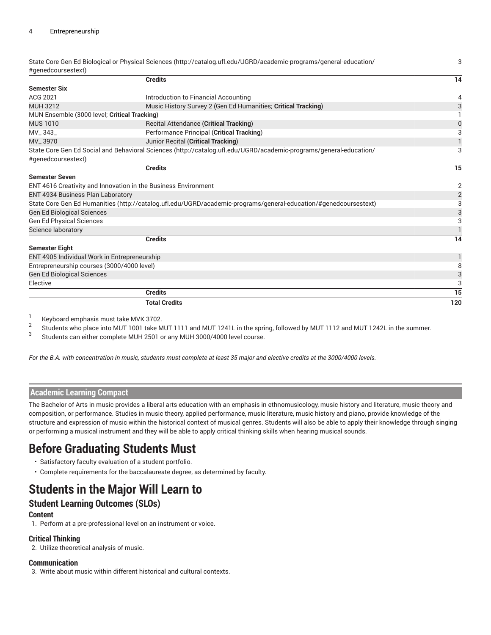| State Core Gen Ed Biological or Physical Sciences (http://catalog.ufl.edu/UGRD/academic-programs/general-education/ | 3                                                                                                                                                                                                                                                                                                                                                                                                                                                   |  |
|---------------------------------------------------------------------------------------------------------------------|-----------------------------------------------------------------------------------------------------------------------------------------------------------------------------------------------------------------------------------------------------------------------------------------------------------------------------------------------------------------------------------------------------------------------------------------------------|--|
|                                                                                                                     | 14                                                                                                                                                                                                                                                                                                                                                                                                                                                  |  |
|                                                                                                                     |                                                                                                                                                                                                                                                                                                                                                                                                                                                     |  |
|                                                                                                                     | 4                                                                                                                                                                                                                                                                                                                                                                                                                                                   |  |
|                                                                                                                     | 3                                                                                                                                                                                                                                                                                                                                                                                                                                                   |  |
|                                                                                                                     |                                                                                                                                                                                                                                                                                                                                                                                                                                                     |  |
|                                                                                                                     | 0                                                                                                                                                                                                                                                                                                                                                                                                                                                   |  |
|                                                                                                                     | 3                                                                                                                                                                                                                                                                                                                                                                                                                                                   |  |
|                                                                                                                     |                                                                                                                                                                                                                                                                                                                                                                                                                                                     |  |
|                                                                                                                     |                                                                                                                                                                                                                                                                                                                                                                                                                                                     |  |
|                                                                                                                     | 3                                                                                                                                                                                                                                                                                                                                                                                                                                                   |  |
|                                                                                                                     |                                                                                                                                                                                                                                                                                                                                                                                                                                                     |  |
|                                                                                                                     | 15                                                                                                                                                                                                                                                                                                                                                                                                                                                  |  |
|                                                                                                                     | $\overline{c}$                                                                                                                                                                                                                                                                                                                                                                                                                                      |  |
| ENT 4616 Creativity and Innovation in the Business Environment<br>ENT 4934 Business Plan Laboratory                 |                                                                                                                                                                                                                                                                                                                                                                                                                                                     |  |
|                                                                                                                     | $\overline{2}$                                                                                                                                                                                                                                                                                                                                                                                                                                      |  |
| State Core Gen Ed Humanities (http://catalog.ufl.edu/UGRD/academic-programs/general-education/#genedcoursestext)    |                                                                                                                                                                                                                                                                                                                                                                                                                                                     |  |
|                                                                                                                     | 3                                                                                                                                                                                                                                                                                                                                                                                                                                                   |  |
|                                                                                                                     | 3                                                                                                                                                                                                                                                                                                                                                                                                                                                   |  |
|                                                                                                                     |                                                                                                                                                                                                                                                                                                                                                                                                                                                     |  |
| <b>Credits</b>                                                                                                      | 14                                                                                                                                                                                                                                                                                                                                                                                                                                                  |  |
|                                                                                                                     |                                                                                                                                                                                                                                                                                                                                                                                                                                                     |  |
| <b>Semester Eight</b><br>ENT 4905 Individual Work in Entrepreneurship                                               |                                                                                                                                                                                                                                                                                                                                                                                                                                                     |  |
| Entrepreneurship courses (3000/4000 level)                                                                          |                                                                                                                                                                                                                                                                                                                                                                                                                                                     |  |
|                                                                                                                     | 3                                                                                                                                                                                                                                                                                                                                                                                                                                                   |  |
|                                                                                                                     | 3                                                                                                                                                                                                                                                                                                                                                                                                                                                   |  |
| <b>Credits</b>                                                                                                      | 15                                                                                                                                                                                                                                                                                                                                                                                                                                                  |  |
| <b>Total Credits</b>                                                                                                |                                                                                                                                                                                                                                                                                                                                                                                                                                                     |  |
|                                                                                                                     |                                                                                                                                                                                                                                                                                                                                                                                                                                                     |  |
|                                                                                                                     | <b>Credits</b><br>Introduction to Financial Accounting<br>Music History Survey 2 (Gen Ed Humanities; Critical Tracking)<br>MUN Ensemble (3000 level; Critical Tracking)<br><b>Recital Attendance (Critical Tracking)</b><br>Performance Principal (Critical Tracking)<br>Junior Recital (Critical Tracking)<br>State Core Gen Ed Social and Behavioral Sciences (http://catalog.ufl.edu/UGRD/academic-programs/general-education/<br><b>Credits</b> |  |

1 Keyboard emphasis must take MVK 3702.

2 Students who place into MUT 1001 take MUT 1111 and MUT 1241L in the spring, followed by MUT 1112 and MUT 1242L in the summer.

3 Students can either complete MUH 2501 or any MUH 3000/4000 level course.

For the B.A. with concentration in music, students must complete at least 35 major and elective credits at the 3000/4000 levels.

#### **Academic Learning Compact**

The Bachelor of Arts in music provides a liberal arts education with an emphasis in ethnomusicology, music history and literature, music theory and composition, or performance. Studies in music theory, applied performance, music literature, music history and piano, provide knowledge of the structure and expression of music within the historical context of musical genres. Students will also be able to apply their knowledge through singing or performing a musical instrument and they will be able to apply critical thinking skills when hearing musical sounds.

# **Before Graduating Students Must**

- Satisfactory faculty evaluation of a student portfolio.
- Complete requirements for the baccalaureate degree, as determined by faculty.

# **Students in the Major Will Learn to**

### **Student Learning Outcomes (SLOs)**

#### **Content**

1. Perform at a pre-professional level on an instrument or voice.

#### **Critical Thinking**

2. Utilize theoretical analysis of music.

#### **Communication**

3. Write about music within different historical and cultural contexts.